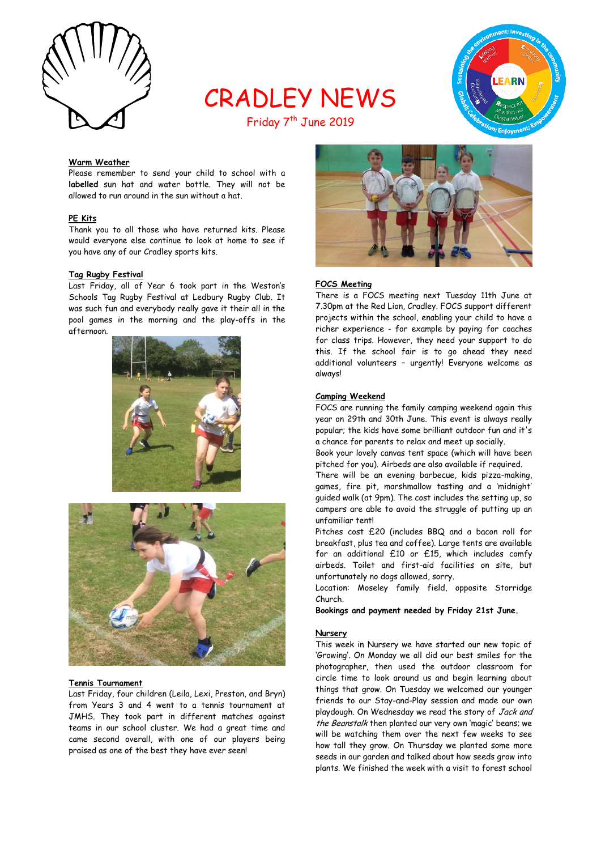

# CRADLEY NEWS



## Friday 7<sup>th</sup> June 2019

#### **Warm Weather**

Please remember to send your child to school with a **labelled** sun hat and water bottle. They will not be allowed to run around in the sun without a hat.

#### **PE Kits**

Thank you to all those who have returned kits. Please would everyone else continue to look at home to see if you have any of our Cradley sports kits.

#### **Tag Rugby Festival**

Last Friday, all of Year 6 took part in the Weston's Schools Tag Rugby Festival at Ledbury Rugby Club. It was such fun and everybody really gave it their all in the pool games in the morning and the play-offs in the afternoon.





#### **Tennis Tournament**

Last Friday, four children (Leila, Lexi, Preston, and Bryn) from Years 3 and 4 went to a tennis tournament at JMHS. They took part in different matches against teams in our school cluster. We had a great time and came second overall, with one of our players being praised as one of the best they have ever seen!



#### **FOCS Meeting**

There is a FOCS meeting next Tuesday 11th June at 7.30pm at the Red Lion, Cradley. FOCS support different projects within the school, enabling your child to have a richer experience - for example by paying for coaches for class trips. However, they need your support to do this. If the school fair is to go ahead they need additional volunteers – urgently! Everyone welcome as always!

#### **Camping Weekend**

FOCS are running the family camping weekend again this year on 29th and 30th June. This event is always really popular; the kids have some brilliant outdoor fun and it's a chance for parents to relax and meet up socially.

Book your lovely canvas tent space (which will have been pitched for you). Airbeds are also available if required.

There will be an evening barbecue, kids pizza-making, games, fire pit, marshmallow tasting and a 'midnight' guided walk (at 9pm). The cost includes the setting up, so campers are able to avoid the struggle of putting up an unfamiliar tent!

Pitches cost £20 (includes BBQ and a bacon roll for breakfast, plus tea and coffee). Large tents are available for an additional £10 or £15, which includes comfy airbeds. Toilet and first-aid facilities on site, but unfortunately no dogs allowed, sorry.

Location: Moseley family field, opposite Storridge Church.

**Bookings and payment needed by Friday 21st June.**

#### **Nursery**

This week in Nursery we have started our new topic of 'Growing'. On Monday we all did our best smiles for the photographer, then used the outdoor classroom for circle time to look around us and begin learning about things that grow. On Tuesday we welcomed our younger friends to our Stay-and-Play session and made our own playdough. On Wednesday we read the story of Jack and the Beanstalk then planted our very own 'magic' beans; we will be watching them over the next few weeks to see how tall they grow. On Thursday we planted some more seeds in our garden and talked about how seeds grow into plants. We finished the week with a visit to forest school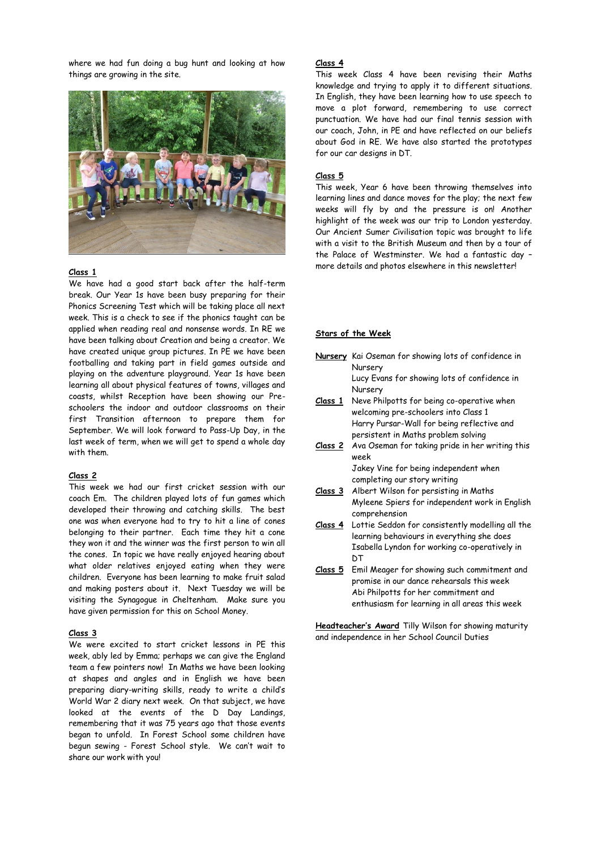where we had fun doing a bug hunt and looking at how things are growing in the site.



#### **Class 1**

We have had a good start back after the half-term break. Our Year 1s have been busy preparing for their Phonics Screening Test which will be taking place all next week. This is a check to see if the phonics taught can be applied when reading real and nonsense words. In RE we have been talking about Creation and being a creator. We have created unique group pictures. In PE we have been footballing and taking part in field games outside and playing on the adventure playground. Year 1s have been learning all about physical features of towns, villages and coasts, whilst Reception have been showing our Preschoolers the indoor and outdoor classrooms on their first Transition afternoon to prepare them for September. We will look forward to Pass-Up Day, in the last week of term, when we will get to spend a whole day with them.

#### **Class 2**

This week we had our first cricket session with our coach Em. The children played lots of fun games which developed their throwing and catching skills. The best one was when everyone had to try to hit a line of cones belonging to their partner. Each time they hit a cone they won it and the winner was the first person to win all the cones. In topic we have really enjoyed hearing about what older relatives enjoyed eating when they were children. Everyone has been learning to make fruit salad and making posters about it. Next Tuesday we will be visiting the Synagogue in Cheltenham. Make sure you have given permission for this on School Money.

#### **Class 3**

We were excited to start cricket lessons in PE this week, ably led by Emma; perhaps we can give the England team a few pointers now! In Maths we have been looking at shapes and angles and in English we have been preparing diary-writing skills, ready to write a child's World War 2 diary next week. On that subject, we have looked at the events of the D Day Landings, remembering that it was 75 years ago that those events began to unfold. In Forest School some children have begun sewing - Forest School style. We can't wait to share our work with you!

#### **Class 4**

This week Class 4 have been revising their Maths knowledge and trying to apply it to different situations. In English, they have been learning how to use speech to move a plot forward, remembering to use correct punctuation. We have had our final tennis session with our coach, John, in PE and have reflected on our beliefs about God in RE. We have also started the prototypes for our car designs in DT.

#### **Class 5**

This week, Year 6 have been throwing themselves into learning lines and dance moves for the play; the next few weeks will fly by and the pressure is on! Another highlight of the week was our trip to London yesterday. Our Ancient Sumer Civilisation topic was brought to life with a visit to the British Museum and then by a tour of the Palace of Westminster. We had a fantastic day – more details and photos elsewhere in this newsletter!

#### **Stars of the Week**

- **Nursery** Kai Oseman for showing lots of confidence in Nursery Lucy Evans for showing lots of confidence in Nursery **Class 1** Neve Philpotts for being co-operative when
- welcoming pre-schoolers into Class 1 Harry Pursar-Wall for being reflective and persistent in Maths problem solving
- **Class 2** Ava Oseman for taking pride in her writing this week Jakey Vine for being independent when

completing our story writing

- **Class 3** Albert Wilson for persisting in Maths Myleene Spiers for independent work in English comprehension
- **Class 4** Lottie Seddon for consistently modelling all the learning behaviours in everything she does Isabella Lyndon for working co-operatively in **DT**
- **Class 5** Emil Meager for showing such commitment and promise in our dance rehearsals this week Abi Philpotts for her commitment and enthusiasm for learning in all areas this week

**Headteacher's Award** Tilly Wilson for showing maturity and independence in her School Council Duties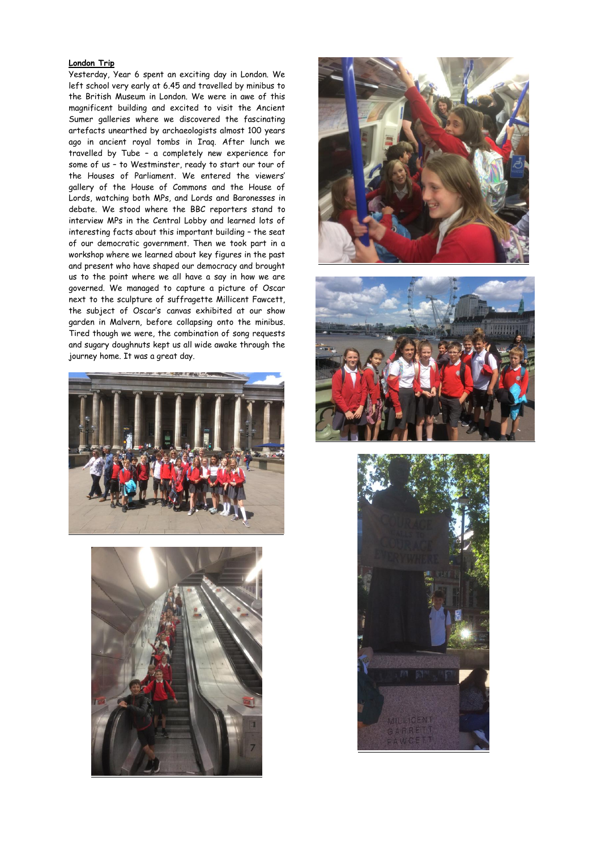#### **London Trip**

Yesterday, Year 6 spent an exciting day in London. We left school very early at 6.45 and travelled by minibus to the British Museum in London. We were in awe of this magnificent building and excited to visit the Ancient Sumer galleries where we discovered the fascinating artefacts unearthed by archaeologists almost 100 years ago in ancient royal tombs in Iraq. After lunch we travelled by Tube – a completely new experience for some of us – to Westminster, ready to start our tour of the Houses of Parliament. We entered the viewers' gallery of the House of Commons and the House of Lords, watching both MPs, and Lords and Baronesses in debate. We stood where the BBC reporters stand to interview MPs in the Central Lobby and learned lots of interesting facts about this important building – the seat of our democratic government. Then we took part in a workshop where we learned about key figures in the past and present who have shaped our democracy and brought us to the point where we all have a say in how we are governed. We managed to capture a picture of Oscar next to the sculpture of suffragette Millicent Fawcett, the subject of Oscar's canvas exhibited at our show garden in Malvern, before collapsing onto the minibus. Tired though we were, the combination of song requests and sugary doughnuts kept us all wide awake through the journey home. It was a great day.